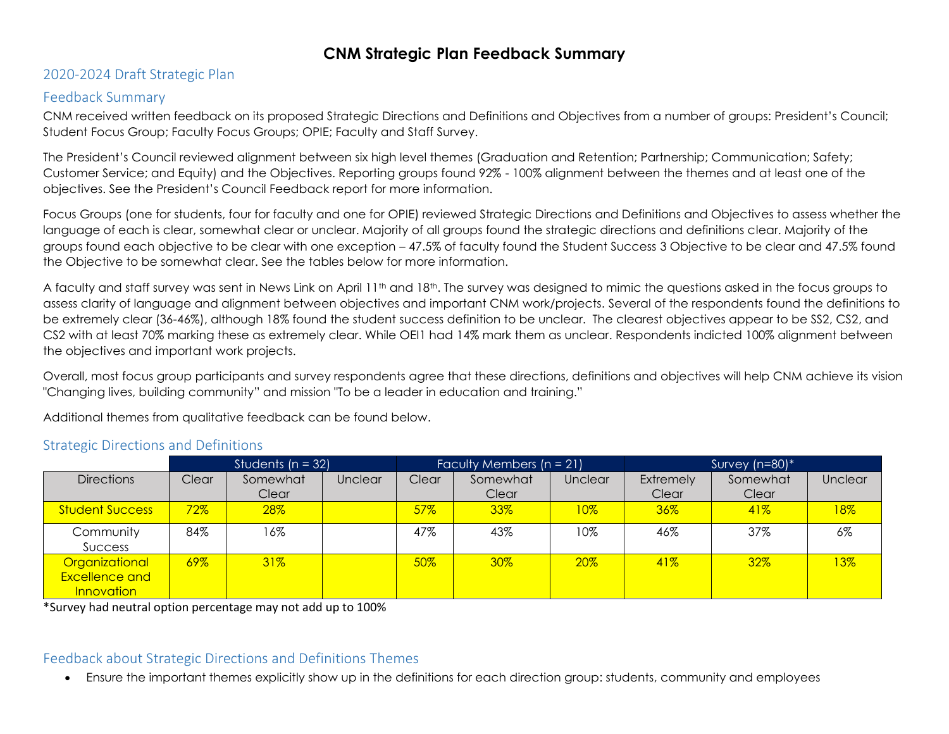#### 2020-2024 Draft Strategic Plan

#### Feedback Summary

CNM received written feedback on its proposed Strategic Directions and Definitions and Objectives from a number of groups: President's Council; Student Focus Group; Faculty Focus Groups; OPIE; Faculty and Staff Survey.

The President's Council reviewed alignment between six high level themes (Graduation and Retention; Partnership; Communication; Safety; Customer Service; and Equity) and the Objectives. Reporting groups found 92% - 100% alignment between the themes and at least one of the objectives. See the President's Council Feedback report for more information.

Focus Groups (one for students, four for faculty and one for OPIE) reviewed Strategic Directions and Definitions and Objectives to assess whether the language of each is clear, somewhat clear or unclear. Majority of all groups found the strategic directions and definitions clear. Majority of the groups found each objective to be clear with one exception – 47.5% of faculty found the Student Success 3 Objective to be clear and 47.5% found the Objective to be somewhat clear. See the tables below for more information.

A faculty and staff survey was sent in News Link on April 11th and 18th. The survey was designed to mimic the questions asked in the focus groups to assess clarity of language and alignment between objectives and important CNM work/projects. Several of the respondents found the definitions to be extremely clear (36-46%), although 18% found the student success definition to be unclear. The clearest objectives appear to be SS2, CS2, and CS2 with at least 70% marking these as extremely clear. While OEI1 had 14% mark them as unclear. Respondents indicted 100% alignment between the objectives and important work projects.

Overall, most focus group participants and survey respondents agree that these directions, definitions and objectives will help CNM achieve its vision "Changing lives, building community" and mission "To be a leader in education and training."

Additional themes from qualitative feedback can be found below.

|                                                              | Students ( $n = 32$ ) |                   |         | Faculty Members $(n = 21)$ |                   |         | Survey $(n=80)*$          |                   |                |  |
|--------------------------------------------------------------|-----------------------|-------------------|---------|----------------------------|-------------------|---------|---------------------------|-------------------|----------------|--|
| <b>Directions</b>                                            | Clear                 | Somewhat<br>Clear | Unclear | Clear                      | Somewhat<br>Clear | Unclear | <b>Extremely</b><br>Clear | Somewhat<br>Clear | <b>Unclear</b> |  |
| <b>Student Success</b>                                       | $72\%$                | 28%               |         | 57%                        | 33%               | $10\%$  | $36\%$                    | 41%               | 18%            |  |
| Community<br>Success                                         | 84%                   | 16%               |         | 47%                        | 43%               | 10%     | 46%                       | 37%               | $6\%$          |  |
| Organizational<br><b>Excellence and</b><br><b>Innovation</b> | $69\%$                | $31\%$            |         | 50%                        | 30%               | 20%     | 41%                       | 32%               | $13\%$         |  |

#### Strategic Directions and Definitions

\*Survey had neutral option percentage may not add up to 100%

#### Feedback about Strategic Directions and Definitions Themes

Ensure the important themes explicitly show up in the definitions for each direction group: students, community and employees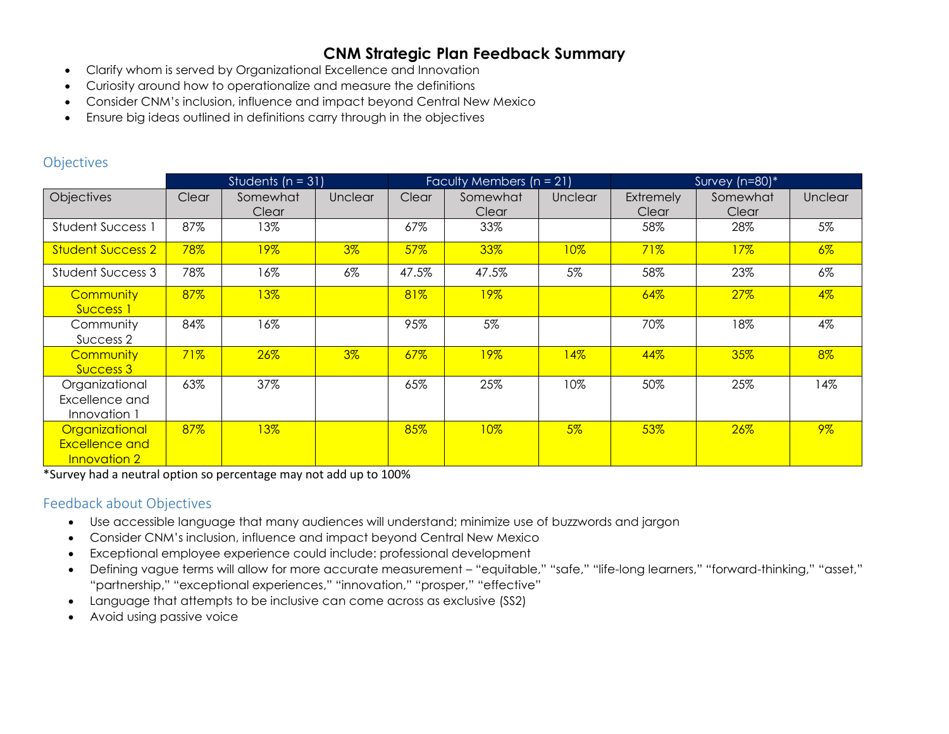- Clarify whom is served by Organizational Excellence and Innovation
- Curiosity around how to operationalize and measure the definitions
- Consider CNM's inclusion, influence and impact beyond Central New Mexico
- Ensure big ideas outlined in definitions carry through in the objectives

#### **Objectives**

|                                                                | Students ( $n = 31$ ) |                   |         | Faculty Members $(n = 21)$ |                   |                | Survey (n=80)*     |                   |         |
|----------------------------------------------------------------|-----------------------|-------------------|---------|----------------------------|-------------------|----------------|--------------------|-------------------|---------|
| <b>Objectives</b>                                              | Clear                 | Somewhat<br>Clear | Unclear | Clear                      | Somewhat<br>Clear | <b>Unclear</b> | Extremely<br>Clear | Somewhat<br>Clear | Unclear |
| <b>Student Success 1</b>                                       | 87%                   | 13%               |         | 67%                        | 33%               |                | 58%                | 28%               | 5%      |
| <b>Student Success 2</b>                                       | 78%                   | 19%               | $3\%$   | 57%                        | 33%               | 10%            | 71%                | 17%               | $6\%$   |
| Student Success 3                                              | 78%                   | 16%               | $6\%$   | 47.5%                      | 47.5%             | 5%             | 58%                | 23%               | 6%      |
| Community<br>Success 1                                         | 87%                   | 13%               |         | 81%                        | 19%               |                | 64%                | 27%               | $4\%$   |
| Community<br>Success 2                                         | 84%                   | 16%               |         | 95%                        | 5%                |                | 70%                | 18%               | $4\%$   |
| Community<br>Success 3                                         | 71%                   | 26%               | $3\%$   | 67%                        | 19%               | 14%            | 44%                | 35%               | $8\%$   |
| Organizational<br>Excellence and<br>Innovation 1               | 63%                   | 37%               |         | 65%                        | 25%               | 10%            | 50%                | 25%               | 14%     |
| Organizational<br><b>Excellence and</b><br><b>Innovation 2</b> | 87%                   | 13%               |         | 85%                        | 10%               | $5\%$          | 53%                | 26%               | $9\%$   |

\*Survey had a neutral option so percentage may not add up to 100%

#### Feedback about Objectives

- Use accessible language that many audiences will understand; minimize use of buzzwords and jargon
- Consider CNM's inclusion, influence and impact beyond Central New Mexico
- Exceptional employee experience could include: professional development
- Defining vague terms will allow for more accurate measurement "equitable," "safe," "life-long learners," "forward-thinking," "asset," "partnership," "exceptional experiences," "innovation," "prosper," "effective"
- Language that attempts to be inclusive can come across as exclusive (SS2)
- Avoid using passive voice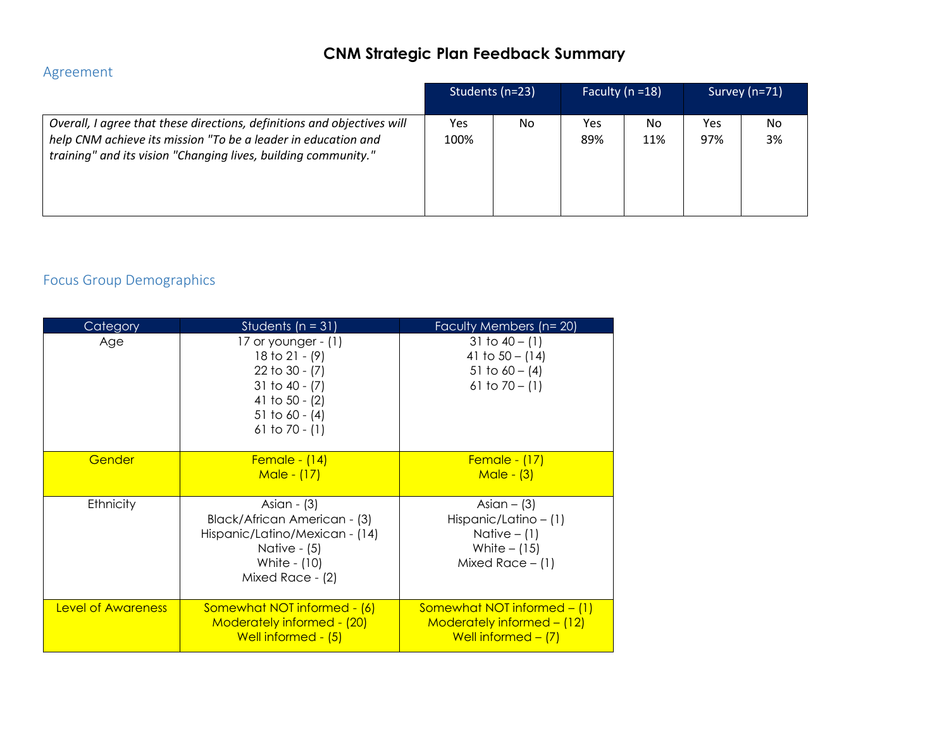#### Agreement

|                                                                                                                                                                                                            |             | Students (n=23) | Faculty ( $n = 18$ ) |           |            | Survey (n=71) |
|------------------------------------------------------------------------------------------------------------------------------------------------------------------------------------------------------------|-------------|-----------------|----------------------|-----------|------------|---------------|
| Overall, I agree that these directions, definitions and objectives will<br>help CNM achieve its mission "To be a leader in education and<br>training" and its vision "Changing lives, building community." | Yes<br>100% | No.             | <b>Yes</b><br>89%    | No<br>11% | Yes<br>97% | No<br>3%      |

## Focus Group Demographics

| Category           | Students ( $n = 31$ )                                                                                                                        | Faculty Members (n= 20)                                                                            |  |  |  |
|--------------------|----------------------------------------------------------------------------------------------------------------------------------------------|----------------------------------------------------------------------------------------------------|--|--|--|
| Age                | 17 or younger $ (1)$<br>18 to 21 - $(9)$<br>22 to $30 - (7)$<br>31 to 40 - $(7)$<br>41 to 50 - $(2)$<br>51 to 60 - $(4)$<br>61 to 70 - $(1)$ | 31 to $40 - (1)$<br>41 to $50 - (14)$<br>51 to $60 - (4)$<br>61 to $70 - (1)$                      |  |  |  |
| Gender             | <b>Female - (14)</b><br>Male - (17)                                                                                                          | <b>Female - (17)</b><br>$Male - (3)$                                                               |  |  |  |
| Ethnicity          | Asian - (3)<br>Black/African American - (3)<br>Hispanic/Latino/Mexican - (14)<br>Native $ (5)$<br>White - (10)<br>Mixed Race - (2)           | Asian $-$ (3)<br>Hispanic/Latino $- (1)$<br>Native $-$ (1)<br>White $-$ (15)<br>Mixed Race $-$ (1) |  |  |  |
| Level of Awareness | Somewhat NOT informed - (6)<br>Moderately informed - (20)<br>Well informed - (5)                                                             | Somewhat NOT informed $-$ (1)<br>Moderately informed $-$ (12)<br>Well informed $-$ (7)             |  |  |  |